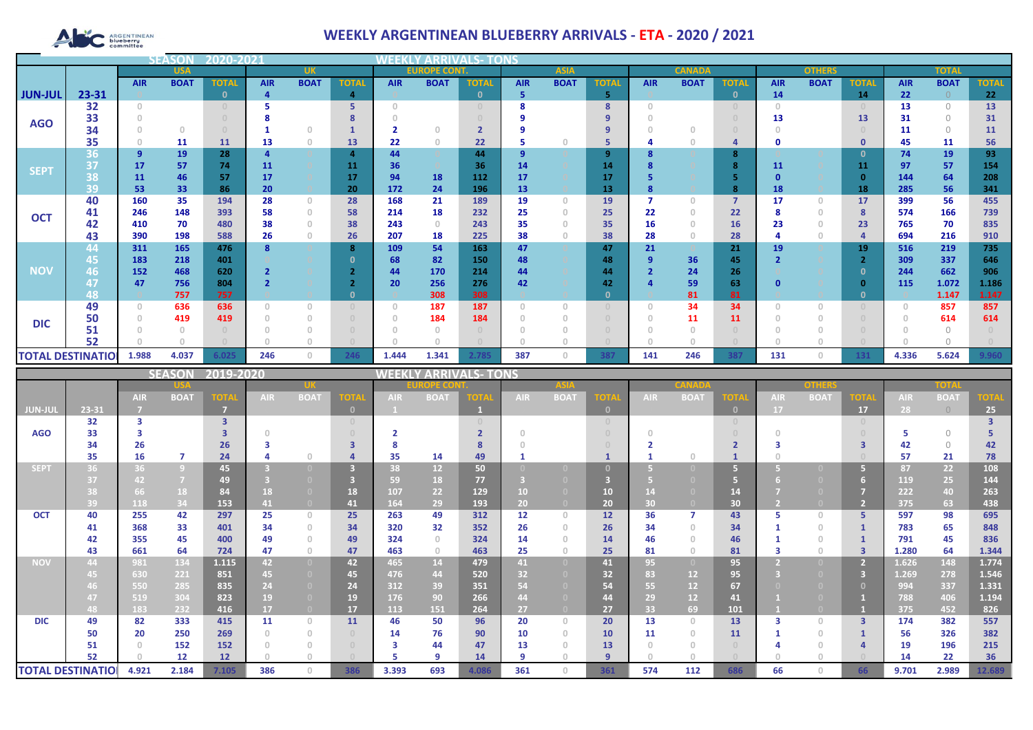# ARGENTINEAN

## **WEEKLY ARGENTINEAN BLUEBERRY ARRIVALS - ETA - 2020 / 2021**

|                |                          | <b>SEASO</b> |             |              |            |                |              |                                       |                     |              |             |                                       |              |               |             |                                  |            |               |              |              |              |              |  |
|----------------|--------------------------|--------------|-------------|--------------|------------|----------------|--------------|---------------------------------------|---------------------|--------------|-------------|---------------------------------------|--------------|---------------|-------------|----------------------------------|------------|---------------|--------------|--------------|--------------|--------------|--|
|                | <b>USA</b>               |              |             |              |            |                |              |                                       | <b>EUROPE CONT.</b> |              | <b>ASIA</b> |                                       |              | <b>CANADA</b> |             |                                  |            | <b>OTHERS</b> |              | <b>TOTAI</b> |              |              |  |
|                |                          | <b>AIR</b>   | <b>BOAT</b> | <b>TOTAL</b> | <b>AIR</b> | <b>BOAT</b>    | <b>TOTAL</b> | <b>AIR</b>                            | <b>BOAT</b>         | <b>TOTAL</b> | <b>AIR</b>  | <b>BOAT</b>                           | <b>TOTA</b>  | <b>AIR</b>    | <b>BOAT</b> | <b>TOTAL</b>                     | <b>AIR</b> | <b>BOAT</b>   | <b>TOTAL</b> | <b>AIR</b>   | <b>BOAT</b>  | <b>TOTAL</b> |  |
| <b>JUN-JUL</b> | 23-31                    |              |             |              |            |                | 4            |                                       |                     | $\mathbf{0}$ | 5           |                                       | 5            |               |             | $\mathbf{0}$                     | 14         |               | 14           | 22           |              | 22           |  |
|                | 32                       | $\Omega$     |             |              |            |                |              | $\cap$                                |                     |              | я           |                                       | 8            |               |             | $\begin{array}{c} \n\end{array}$ | $\cap$     |               |              | 13           | $\Omega$     | 13           |  |
| <b>AGO</b>     | 33                       |              |             |              |            |                |              |                                       |                     |              |             |                                       |              |               |             |                                  | 13         |               | 13           | 31           | $\bigcap$    | 31           |  |
|                | 34                       |              | $\Omega$    |              |            | $\cap$         |              |                                       | $\Omega$            |              |             |                                       | 9            |               |             |                                  |            |               |              | 11           | $\Omega$     | 11           |  |
|                | 35                       |              | 11          | <b>11</b>    | 13         | $\overline{0}$ | 13           | 22                                    | $\theta$            | 22           |             | $\Box$                                | 5            |               |             | 4                                | O          |               | $\mathbf 0$  | 45           | 11           | 56           |  |
|                | 36                       | 9            | 19          | 28           |            |                | 4            | 44                                    |                     | 44           | 9           |                                       | 9            |               |             | 8                                |            |               | 0            | 74           | 19           | 93           |  |
| <b>SEPT</b>    | 137                      | 17           | 57          | 74           | 11         |                | 11           | 36                                    |                     | 36           | 14          |                                       | 14           |               |             | $\mathbf{R}$                     | 11         |               | 11           | 97           | 57           | 154          |  |
|                | 38                       | 11           | 46          | 57           | 17         |                | 17           | 94                                    | 18                  | 112          | 17          |                                       | 17           |               |             |                                  |            |               | - 0          | 144          | 64           | 208          |  |
|                | 39                       | 53           | 33          | 86           | 20         |                | 20           | 172                                   | 24                  | 196          | 13          |                                       | 13           |               |             | 8                                | 18         |               | 18           | 285          | 56           | 341          |  |
|                | 40                       | 160          | 35          | 194          | 28         | $\circ$        | 28           | 168                                   | 21                  | 189          | 19          | $\begin{array}{c} 0 \\ 0 \end{array}$ | 19           |               | 0           | $\overline{7}$                   | 17         | $\circ$       | 17           | 399          | 56           | 455          |  |
| <b>OCT</b>     | 41                       | 246          | 148         | 393          | 58         | $\theta$       | 58           | 214                                   | 18                  | 232          | 25          | n.                                    | 25           | 22            |             | 22                               |            | $\circ$       | 8            | 574          | 166          | 739          |  |
|                | 42                       | 410          | 70          | 480          | 38         | $\Omega$       | 38           | 243                                   | $\Omega$            | 243          | 35          |                                       | 35           | 16            |             | 16                               | 23         | $\Omega$      | 23           | 765          | 70           | 835          |  |
|                | 43                       | 390          | 198         | 588          | 26         | $\Omega$       | 26           | 207                                   | 18                  | 225          | 38          |                                       | 38           | 28            |             | 28                               |            | 0             |              | 694          | 216          | 910          |  |
|                | 44                       | 311          | 165         | 476          |            |                | 8            | 109                                   | 54                  | 163          | 47          |                                       | 47           | 21            |             | 21                               | 19         |               | 19           | 516          | 219          | 735          |  |
| <b>NOV</b>     | 45                       | 183          | 218         | 401          |            |                |              | 68                                    | 82                  | 150          | 48          |                                       | 48           | 9             | 36          | 45                               |            |               | - 0          | 309          | 337          | 646          |  |
|                | 46                       | 152<br>47    | 468<br>756  | 620<br>804   |            |                |              | 44<br>20                              | 170<br>256          | 214<br>276   | 44<br>42    |                                       | 44<br>42     |               | 24<br>59    | 26<br>63                         | n          |               | - 0          | 244<br>115   | 662<br>1.072 | 906<br>1.186 |  |
|                | 48                       |              | 757         | 757          |            |                |              |                                       | 308                 | 308          |             |                                       | $\mathbf{0}$ |               | 81          | 81                               |            |               | - 0          |              | 1.147        | 1.147        |  |
|                | 49                       | 0            | 636         | 636          |            | $\Omega$       | $\Omega$     | $\begin{array}{c} 0 \\ 0 \end{array}$ | 187                 | 187          | $\Omega$    |                                       |              |               | 34          | 34                               |            |               |              |              | 857          | 857          |  |
|                | 50                       |              | 419         | 419          |            | $\Omega$       | $\Box$       | $\Omega$                              | 184                 | 184          | 0           |                                       |              |               | 11          | 11                               |            |               |              |              | 614          | 614          |  |
| <b>DIC</b>     | 51                       |              |             |              |            |                |              |                                       |                     |              |             |                                       |              |               |             |                                  |            |               |              |              |              |              |  |
|                | 52                       |              |             |              |            |                |              |                                       |                     |              | $\cap$      |                                       |              |               |             |                                  |            |               |              |              |              |              |  |
|                | <b>TOTAL DESTINATIOI</b> | 1.988        | 4.037       | 6.025        | 246        | $\circ$        | 246          | 1.444                                 | 1.341               | 2.785        | 387         | $\Omega$                              | 387          | 141           | 246         | 387                              | 131        | 0             | 131          | 4.336        | 5.624        | 9.960        |  |
|                |                          |              |             |              |            |                |              |                                       |                     |              |             |                                       |              |               |             |                                  |            |               |              |              |              |              |  |

|                          |       |            | <b>SEASON</b>  | 2019-2020               |            |                                       |              | <b>VEEKI</b> |                 | <b>/ ARRIVALS- TONS</b> |            |                |                |            |             |              |            |             |             |            |             |             |
|--------------------------|-------|------------|----------------|-------------------------|------------|---------------------------------------|--------------|--------------|-----------------|-------------------------|------------|----------------|----------------|------------|-------------|--------------|------------|-------------|-------------|------------|-------------|-------------|
|                          |       |            |                |                         |            |                                       |              | DPE CO       |                 |                         |            |                |                |            |             |              | onhar      |             |             | TOTA       |             |             |
|                          |       | <b>AIR</b> | <b>BOAT</b>    | <b>TOTA</b>             | <b>AIR</b> | <b>BOAT</b>                           | <b>TOTA</b>  | <b>AIR</b>   | <b>BOAT</b>     | TOTA                    | <b>AIR</b> | <b>BOAT</b>    | <b>TOTA</b>    | <b>AIR</b> | <b>BOAT</b> | <b>TOTA</b>  | <b>AIR</b> | <b>BOAT</b> | <b>TOTA</b> | <b>AIR</b> | <b>BOAT</b> | <b>TOTA</b> |
| JUN-JUI                  | 23-31 |            |                | m                       |            |                                       | $\mathbf{0}$ |              |                 |                         |            |                | $\mathbf{0}$   |            |             | $\mathbf{0}$ | <b>17</b>  |             | 17          | 28         | $\bigcirc$  | 25          |
|                          | 32    | з          |                | $\overline{\mathbf{3}}$ |            |                                       |              |              |                 |                         |            |                |                |            |             | $\Box$       |            |             |             |            |             |             |
| <b>AGO</b>               | 33    |            |                |                         |            |                                       |              |              |                 |                         |            |                |                |            |             |              |            |             |             |            | $\bigcap$   |             |
|                          | 34    | 26         |                | 26                      |            |                                       | ₹            |              |                 |                         |            |                |                |            |             |              |            |             |             | 42         | $\bigcap$   | 42          |
|                          | 35    | 16         | 7              | 24                      |            | $\bigcap$                             |              | 35           | 14              | 49                      |            |                |                |            |             |              |            |             |             | 57         | 21          | 78          |
| <b>SEPT</b>              | 36    | 36         | $\overline{9}$ | 45                      |            |                                       | 3            | 38           | 12 <sup>2</sup> | 50                      |            |                |                |            |             | G            |            |             |             | 87         | 22          | 108         |
|                          | 37    | 42         | $\overline{7}$ | 49                      |            |                                       |              | 59           | 18              | 77                      |            |                |                |            |             | 67           |            |             |             | 119        | 25          | 144         |
|                          |       | 66         | 18             | 84                      | 18         | $\Box$                                | 18           | 107          | 22              | 129                     | 10         |                | 10             |            |             | 14           |            |             |             | 222        | 40          | 263         |
|                          | 39    | 118        | 34             | 153                     | 41         | $\overline{0}$                        | 41           | 164          | 29              | 193                     | 20         |                | 20             | 30         |             | 30           |            |             |             | 375        | 63          | 438         |
| <b>OCT</b>               | 40    | 255        | 42             | 297                     | 25         | $\Omega$                              | 25           | 263          | 49              | 312                     | 12         | $\Omega$       | 12             | 36         |             | 43           |            | $\Box$      | 5.          | 597        | 98          | 695         |
|                          | 41    | 368        | 33             | 401                     | 34         | $\circ$                               | 34           | 320          | 32              | 352                     | 26         |                | 26             | 34         | $\cap$      | 34           |            | $\cap$      |             | 783        | 65          | 848         |
|                          | 42    | 355        | 45             | 400                     | 49         | $\begin{array}{c} 0 \\ 0 \end{array}$ | 49           | 324          | $\Omega$        | 324                     | 14         |                | 14             | 46         |             | 46           |            |             |             | 791        | 45          | 836         |
|                          | 43    | 661        | 64             | 724                     | 47         | $\begin{array}{c} 0 \\ 0 \end{array}$ | 47           | 463          | $\Omega$        | 463                     | 25         | $\Omega$       | 25             | 81         | 0.          | 81           |            | $\cap$      |             | 1.280      | 64          | 1.344       |
| <b>NOV</b>               | 44    | 981        | 134            | 1.115                   | 42         | $\overline{0}$                        | 42           | 465          | 14              | 479                     | 41         | $\overline{0}$ | 41             | 95         |             | 95           |            |             |             | 1.626      | 148         | 1.774       |
|                          | 45    | 630        | 221            | 851                     | 45         | $\Box$                                | 45           | 476          | 44              | 520                     | 32         |                | 32             | 83         | 12          | 95           |            |             | в           | 1.269      | 278         | 1.546       |
|                          |       | 550        | 285            | 835                     | 24         | $\bullet$                             | 24           | 312          | 39              | 351                     | 54         |                | 54             | 55         | 12          | 67           |            |             |             | 994        | 337         | 1.331       |
|                          | 47    | 519        | 304            | 823                     | 19         |                                       | 19           | 176          | 90              | 266                     | 44         |                | 44             | 29         | 12          | 41           |            |             |             | 788        | 406         | 1.194       |
|                          | 48    | 183        | 232            | 416                     | 17         | $\overline{0}$                        | 17           | 113          | 151             | 264                     | 27         |                | 27             | 33         | 69          | 101          |            |             |             | 375        | 452         | 826         |
| <b>DIC</b>               | 49    | 82         | 333            | 415                     | 11         | $\Omega$                              | 11           | 46           | 50              | 96                      | 20         | $\Box$         | 20             | 13         | $\cap$      | 13           |            | $\Box$      | 3           | 174        | 382         | 557         |
|                          | 50    | 20         | 250            | 269                     |            | $\Omega$                              |              | 14           | 76              | 90                      | 10         | $\Omega$       | 10             | 11         | $\cap$      | 11           |            | $\Box$      |             | 56         | 326         | 382         |
|                          | 51    |            | 152            | 152                     |            | $\Box$                                |              | з            | 44              | 47                      | 13         |                | 13             |            |             |              |            |             |             | 19         | 196         | 215         |
|                          | 52    |            | 12             | 12                      |            |                                       |              |              | $\circ$         | 14                      | q          |                | $\overline{9}$ |            |             |              |            |             |             | 14         | 22          | 36          |
| <b>TOTAL DESTINATIOI</b> |       | 4.921      | 2.184          | 7.105                   | 386        | $\Omega$                              | 386          | 3.393        | 693             | 4.086                   | 361        | $\Box$         | 361            | 574        | 112         | 686          | 66         | $\cap$      | 66          | 9.701      | 2.989       | 12.689      |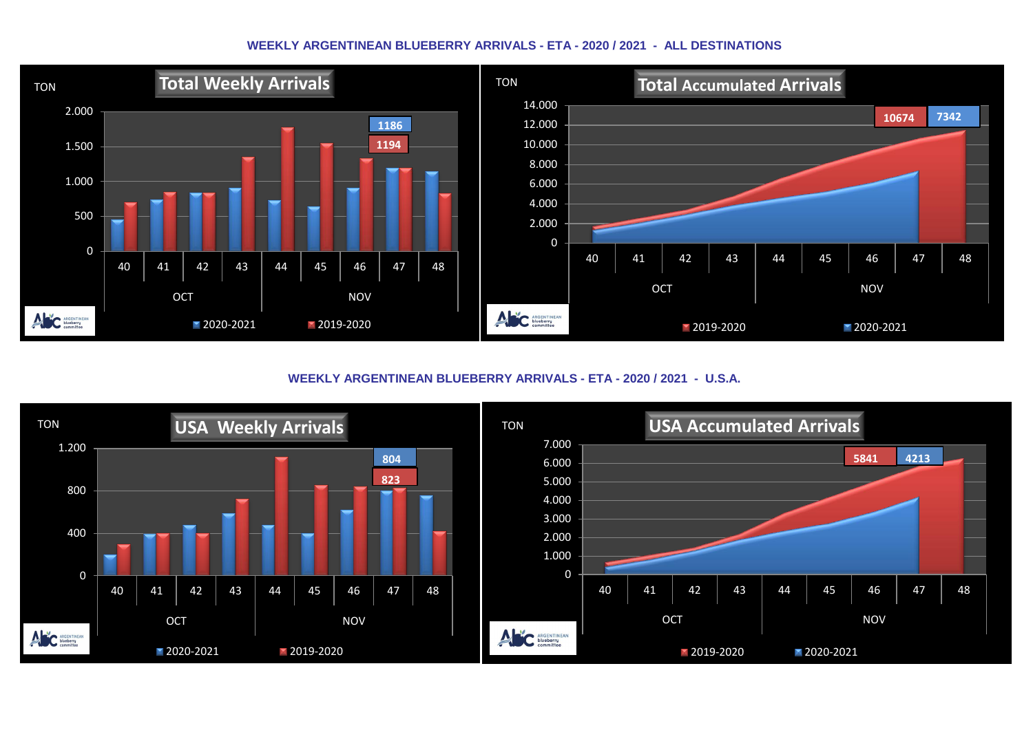#### **WEEKLY ARGENTINEAN BLUEBERRY ARRIVALS - ETA - 2020 / 2021 - ALL DESTINATIONS**



**WEEKLY ARGENTINEAN BLUEBERRY ARRIVALS - ETA - 2020 / 2021 - U.S.A.**

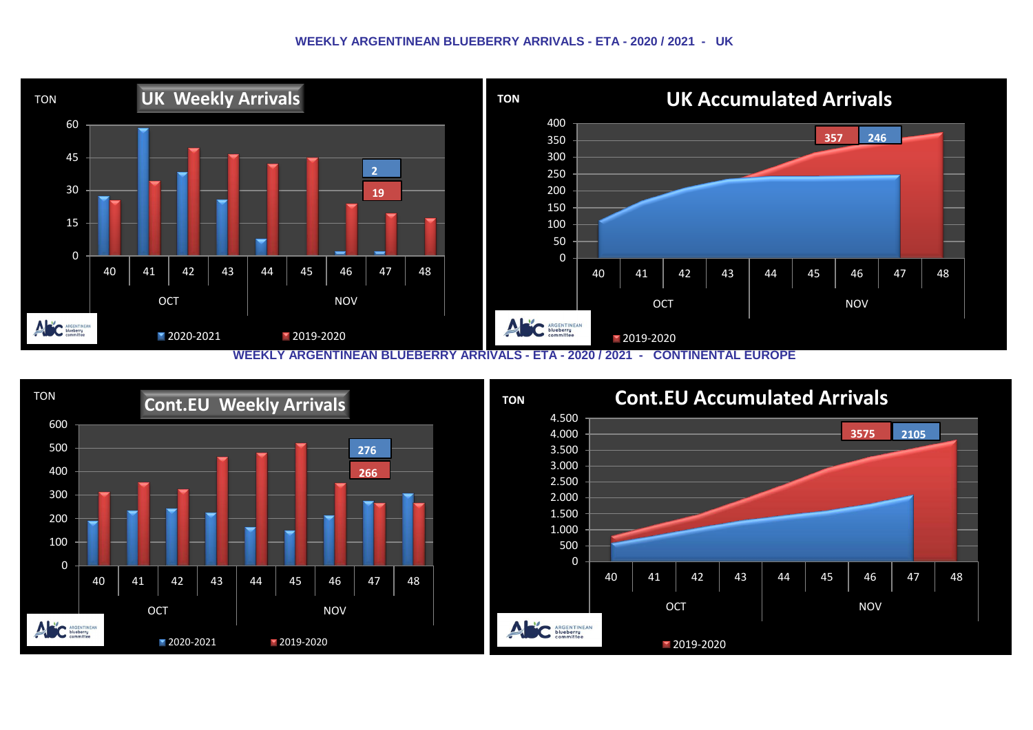#### **WEEKLY ARGENTINEAN BLUEBERRY ARRIVALS - ETA - 2020 / 2021 - UK**